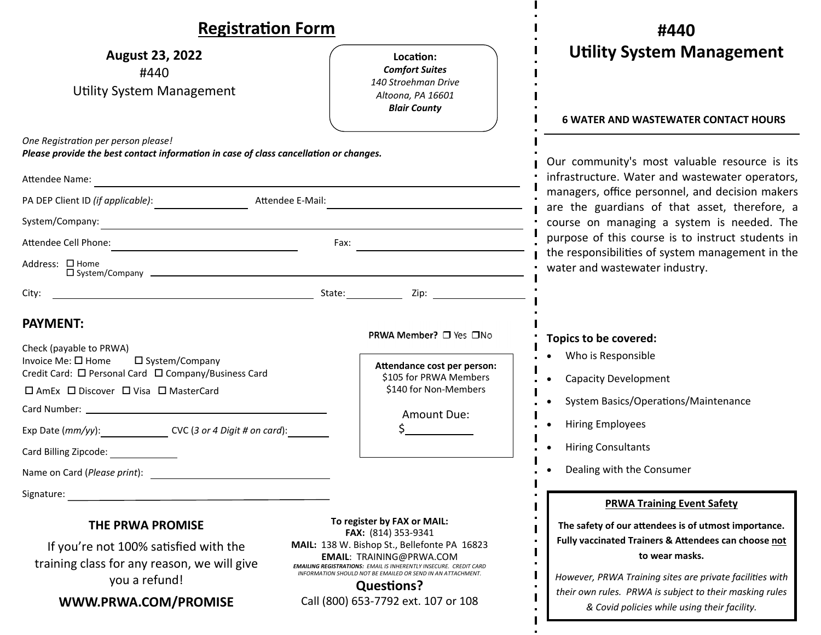| <b>Registration Form</b>                                                                                                                                                                                                                                                                                                                                                        |                                                                                                                                                                                                                                                                                                                                              | #440                                                                                                                                                                                                                                                                                                                                       |
|---------------------------------------------------------------------------------------------------------------------------------------------------------------------------------------------------------------------------------------------------------------------------------------------------------------------------------------------------------------------------------|----------------------------------------------------------------------------------------------------------------------------------------------------------------------------------------------------------------------------------------------------------------------------------------------------------------------------------------------|--------------------------------------------------------------------------------------------------------------------------------------------------------------------------------------------------------------------------------------------------------------------------------------------------------------------------------------------|
| <b>August 23, 2022</b><br>#440<br>Utility System Management                                                                                                                                                                                                                                                                                                                     | Location:<br><b>Comfort Suites</b><br>140 Stroehman Drive<br>Altoona, PA 16601<br><b>Blair County</b>                                                                                                                                                                                                                                        | <b>Utility System Management</b><br><b>6 WATER AND WASTEWATER CONTACT HOURS</b>                                                                                                                                                                                                                                                            |
| One Registration per person please!<br>Please provide the best contact information in case of class cancellation or changes.<br>Attendee Name:<br>the control of the control of the control of the control of the control of the control of the control of the control of the control of the control of the control of the control of the control of the control of the control |                                                                                                                                                                                                                                                                                                                                              | Our community's most valuable resource is its<br>infrastructure. Water and wastewater operators,<br>managers, office personnel, and decision makers<br>are the guardians of that asset, therefore, a<br>course on managing a system is needed. The                                                                                         |
| Attendee E-Mail:                                                                                                                                                                                                                                                                                                                                                                |                                                                                                                                                                                                                                                                                                                                              |                                                                                                                                                                                                                                                                                                                                            |
| System/Company:                                                                                                                                                                                                                                                                                                                                                                 |                                                                                                                                                                                                                                                                                                                                              |                                                                                                                                                                                                                                                                                                                                            |
|                                                                                                                                                                                                                                                                                                                                                                                 | Fax: $\qquad \qquad \_$                                                                                                                                                                                                                                                                                                                      | purpose of this course is to instruct students in<br>the responsibilities of system management in the                                                                                                                                                                                                                                      |
| Address: □ Home                                                                                                                                                                                                                                                                                                                                                                 |                                                                                                                                                                                                                                                                                                                                              | water and wastewater industry.                                                                                                                                                                                                                                                                                                             |
| City:                                                                                                                                                                                                                                                                                                                                                                           |                                                                                                                                                                                                                                                                                                                                              |                                                                                                                                                                                                                                                                                                                                            |
| <b>PAYMENT:</b><br>Check (payable to PRWA)<br>Invoice Me: $\square$ Home<br>□ System/Company<br>Credit Card: □ Personal Card □ Company/Business Card<br>□ AmEx □ Discover □ Visa □ MasterCard<br>Exp Date (mm/yy): CVC (3 or 4 Digit # on card):<br>Card Billing Zipcode:                                                                                                       | PRWA Member? □ Yes □No<br>Attendance cost per person:<br>\$105 for PRWA Members<br>\$140 for Non-Members<br><b>Amount Due:</b>                                                                                                                                                                                                               | Topics to be covered:<br>Who is Responsible<br><b>Capacity Development</b><br>System Basics/Operations/Maintenance<br><b>Hiring Employees</b><br><b>Hiring Consultants</b><br>Dealing with the Consumer                                                                                                                                    |
| Name on Card (Please print):                                                                                                                                                                                                                                                                                                                                                    |                                                                                                                                                                                                                                                                                                                                              |                                                                                                                                                                                                                                                                                                                                            |
| Signature:<br>THE PRWA PROMISE<br>If you're not 100% satisfied with the<br>training class for any reason, we will give<br>you a refund!<br>WWW.PRWA.COM/PROMISE                                                                                                                                                                                                                 | To register by FAX or MAIL:<br>FAX: (814) 353-9341<br>MAIL: 138 W. Bishop St., Bellefonte PA 16823<br><b>EMAIL: TRAINING@PRWA.COM</b><br><b>EMAILING REGISTRATIONS: EMAIL IS INHERENTLY INSECURE. CREDIT CARD</b><br>INFORMATION SHOULD NOT BE EMAILED OR SEND IN AN ATTACHMENT.<br><b>Questions?</b><br>Call (800) 653-7792 ext. 107 or 108 | <b>PRWA Training Event Safety</b><br>The safety of our attendees is of utmost importance.<br>Fully vaccinated Trainers & Attendees can choose not<br>to wear masks.<br>However, PRWA Training sites are private facilities with<br>their own rules. PRWA is subject to their masking rules<br>& Covid policies while using their facility. |

 $\mathbf{I}$